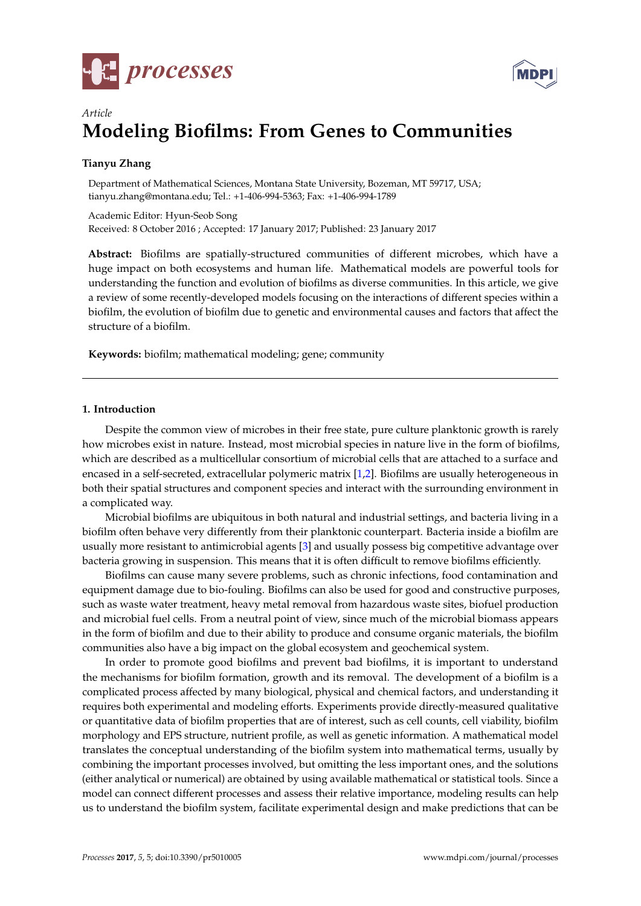



# *Article* **Modeling Biofilms: From Genes to Communities**

# **Tianyu Zhang**

Department of Mathematical Sciences, Montana State University, Bozeman, MT 59717, USA; tianyu.zhang@montana.edu; Tel.: +1-406-994-5363; Fax: +1-406-994-1789

Academic Editor: Hyun-Seob Song Received: 8 October 2016 ; Accepted: 17 January 2017; Published: 23 January 2017

**Abstract:** Biofilms are spatially-structured communities of different microbes, which have a huge impact on both ecosystems and human life. Mathematical models are powerful tools for understanding the function and evolution of biofilms as diverse communities. In this article, we give a review of some recently-developed models focusing on the interactions of different species within a biofilm, the evolution of biofilm due to genetic and environmental causes and factors that affect the structure of a biofilm.

**Keywords:** biofilm; mathematical modeling; gene; community

# **1. Introduction**

Despite the common view of microbes in their free state, pure culture planktonic growth is rarely how microbes exist in nature. Instead, most microbial species in nature live in the form of biofilms, which are described as a multicellular consortium of microbial cells that are attached to a surface and encased in a self-secreted, extracellular polymeric matrix [\[1](#page-12-0)[,2\]](#page-12-1). Biofilms are usually heterogeneous in both their spatial structures and component species and interact with the surrounding environment in a complicated way.

Microbial biofilms are ubiquitous in both natural and industrial settings, and bacteria living in a biofilm often behave very differently from their planktonic counterpart. Bacteria inside a biofilm are usually more resistant to antimicrobial agents [\[3\]](#page-12-2) and usually possess big competitive advantage over bacteria growing in suspension. This means that it is often difficult to remove biofilms efficiently.

Biofilms can cause many severe problems, such as chronic infections, food contamination and equipment damage due to bio-fouling. Biofilms can also be used for good and constructive purposes, such as waste water treatment, heavy metal removal from hazardous waste sites, biofuel production and microbial fuel cells. From a neutral point of view, since much of the microbial biomass appears in the form of biofilm and due to their ability to produce and consume organic materials, the biofilm communities also have a big impact on the global ecosystem and geochemical system.

In order to promote good biofilms and prevent bad biofilms, it is important to understand the mechanisms for biofilm formation, growth and its removal. The development of a biofilm is a complicated process affected by many biological, physical and chemical factors, and understanding it requires both experimental and modeling efforts. Experiments provide directly-measured qualitative or quantitative data of biofilm properties that are of interest, such as cell counts, cell viability, biofilm morphology and EPS structure, nutrient profile, as well as genetic information. A mathematical model translates the conceptual understanding of the biofilm system into mathematical terms, usually by combining the important processes involved, but omitting the less important ones, and the solutions (either analytical or numerical) are obtained by using available mathematical or statistical tools. Since a model can connect different processes and assess their relative importance, modeling results can help us to understand the biofilm system, facilitate experimental design and make predictions that can be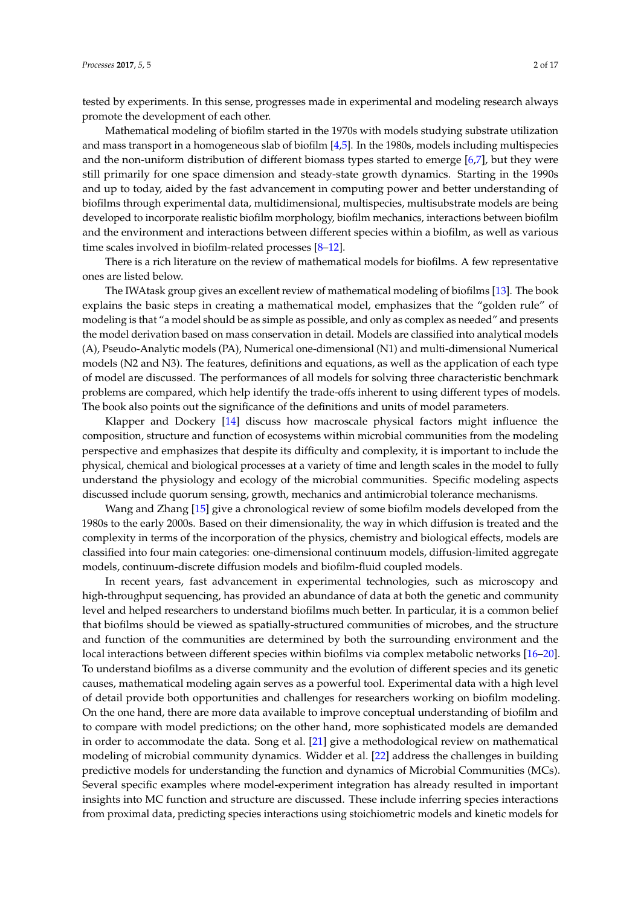tested by experiments. In this sense, progresses made in experimental and modeling research always promote the development of each other.

Mathematical modeling of biofilm started in the 1970s with models studying substrate utilization and mass transport in a homogeneous slab of biofilm [\[4,](#page-12-3)[5\]](#page-12-4). In the 1980s, models including multispecies and the non-uniform distribution of different biomass types started to emerge [\[6](#page-12-5)[,7\]](#page-12-6), but they were still primarily for one space dimension and steady-state growth dynamics. Starting in the 1990s and up to today, aided by the fast advancement in computing power and better understanding of biofilms through experimental data, multidimensional, multispecies, multisubstrate models are being developed to incorporate realistic biofilm morphology, biofilm mechanics, interactions between biofilm and the environment and interactions between different species within a biofilm, as well as various time scales involved in biofilm-related processes [\[8](#page-12-7)[–12\]](#page-12-8).

There is a rich literature on the review of mathematical models for biofilms. A few representative ones are listed below.

The IWAtask group gives an excellent review of mathematical modeling of biofilms [\[13\]](#page-12-9). The book explains the basic steps in creating a mathematical model, emphasizes that the "golden rule" of modeling is that "a model should be as simple as possible, and only as complex as needed" and presents the model derivation based on mass conservation in detail. Models are classified into analytical models (A), Pseudo-Analytic models (PA), Numerical one-dimensional (N1) and multi-dimensional Numerical models (N2 and N3). The features, definitions and equations, as well as the application of each type of model are discussed. The performances of all models for solving three characteristic benchmark problems are compared, which help identify the trade-offs inherent to using different types of models. The book also points out the significance of the definitions and units of model parameters.

Klapper and Dockery [\[14\]](#page-12-10) discuss how macroscale physical factors might influence the composition, structure and function of ecosystems within microbial communities from the modeling perspective and emphasizes that despite its difficulty and complexity, it is important to include the physical, chemical and biological processes at a variety of time and length scales in the model to fully understand the physiology and ecology of the microbial communities. Specific modeling aspects discussed include quorum sensing, growth, mechanics and antimicrobial tolerance mechanisms.

Wang and Zhang [\[15\]](#page-12-11) give a chronological review of some biofilm models developed from the 1980s to the early 2000s. Based on their dimensionality, the way in which diffusion is treated and the complexity in terms of the incorporation of the physics, chemistry and biological effects, models are classified into four main categories: one-dimensional continuum models, diffusion-limited aggregate models, continuum-discrete diffusion models and biofilm-fluid coupled models.

In recent years, fast advancement in experimental technologies, such as microscopy and high-throughput sequencing, has provided an abundance of data at both the genetic and community level and helped researchers to understand biofilms much better. In particular, it is a common belief that biofilms should be viewed as spatially-structured communities of microbes, and the structure and function of the communities are determined by both the surrounding environment and the local interactions between different species within biofilms via complex metabolic networks [\[16–](#page-12-12)[20\]](#page-12-13). To understand biofilms as a diverse community and the evolution of different species and its genetic causes, mathematical modeling again serves as a powerful tool. Experimental data with a high level of detail provide both opportunities and challenges for researchers working on biofilm modeling. On the one hand, there are more data available to improve conceptual understanding of biofilm and to compare with model predictions; on the other hand, more sophisticated models are demanded in order to accommodate the data. Song et al. [\[21\]](#page-12-14) give a methodological review on mathematical modeling of microbial community dynamics. Widder et al. [\[22\]](#page-12-15) address the challenges in building predictive models for understanding the function and dynamics of Microbial Communities (MCs). Several specific examples where model-experiment integration has already resulted in important insights into MC function and structure are discussed. These include inferring species interactions from proximal data, predicting species interactions using stoichiometric models and kinetic models for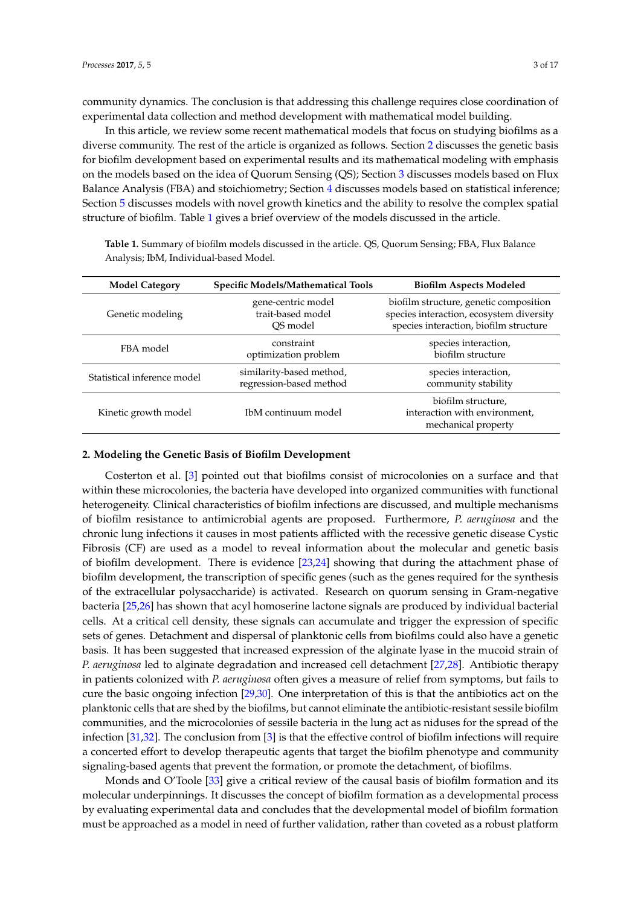community dynamics. The conclusion is that addressing this challenge requires close coordination of experimental data collection and method development with mathematical model building.

In this article, we review some recent mathematical models that focus on studying biofilms as a diverse community. The rest of the article is organized as follows. Section [2](#page-2-0) discusses the genetic basis for biofilm development based on experimental results and its mathematical modeling with emphasis on the models based on the idea of Quorum Sensing (QS); Section [3](#page-6-0) discusses models based on Flux Balance Analysis (FBA) and stoichiometry; Section [4](#page-7-0) discusses models based on statistical inference; Section [5](#page-9-0) discusses models with novel growth kinetics and the ability to resolve the complex spatial structure of biofilm. Table [1](#page-2-1) gives a brief overview of the models discussed in the article.

| <b>Model Category</b>       | <b>Specific Models/Mathematical Tools</b>           | <b>Biofilm Aspects Modeled</b>                                                                                               |
|-----------------------------|-----------------------------------------------------|------------------------------------------------------------------------------------------------------------------------------|
| Genetic modeling            | gene-centric model<br>trait-based model<br>OS model | biofilm structure, genetic composition<br>species interaction, ecosystem diversity<br>species interaction, biofilm structure |
| FBA model                   | constraint<br>optimization problem                  | species interaction,<br>biofilm structure                                                                                    |
| Statistical inference model | similarity-based method,<br>regression-based method | species interaction,<br>community stability                                                                                  |
| Kinetic growth model        | IbM continuum model                                 | biofilm structure,<br>interaction with environment,<br>mechanical property                                                   |

<span id="page-2-1"></span>**Table 1.** Summary of biofilm models discussed in the article. QS, Quorum Sensing; FBA, Flux Balance Analysis; IbM, Individual-based Model.

## <span id="page-2-0"></span>**2. Modeling the Genetic Basis of Biofilm Development**

Costerton et al. [\[3\]](#page-12-2) pointed out that biofilms consist of microcolonies on a surface and that within these microcolonies, the bacteria have developed into organized communities with functional heterogeneity. Clinical characteristics of biofilm infections are discussed, and multiple mechanisms of biofilm resistance to antimicrobial agents are proposed. Furthermore, *P. aeruginosa* and the chronic lung infections it causes in most patients afflicted with the recessive genetic disease Cystic Fibrosis (CF) are used as a model to reveal information about the molecular and genetic basis of biofilm development. There is evidence [\[23,](#page-12-16)[24\]](#page-12-17) showing that during the attachment phase of biofilm development, the transcription of specific genes (such as the genes required for the synthesis of the extracellular polysaccharide) is activated. Research on quorum sensing in Gram-negative bacteria [\[25,](#page-12-18)[26\]](#page-12-19) has shown that acyl homoserine lactone signals are produced by individual bacterial cells. At a critical cell density, these signals can accumulate and trigger the expression of specific sets of genes. Detachment and dispersal of planktonic cells from biofilms could also have a genetic basis. It has been suggested that increased expression of the alginate lyase in the mucoid strain of *P. aeruginosa* led to alginate degradation and increased cell detachment [\[27,](#page-13-0)[28\]](#page-13-1). Antibiotic therapy in patients colonized with *P. aeruginosa* often gives a measure of relief from symptoms, but fails to cure the basic ongoing infection  $[29,30]$  $[29,30]$ . One interpretation of this is that the antibiotics act on the planktonic cells that are shed by the biofilms, but cannot eliminate the antibiotic-resistant sessile biofilm communities, and the microcolonies of sessile bacteria in the lung act as niduses for the spread of the infection [\[31](#page-13-4)[,32\]](#page-13-5). The conclusion from [\[3\]](#page-12-2) is that the effective control of biofilm infections will require a concerted effort to develop therapeutic agents that target the biofilm phenotype and community signaling-based agents that prevent the formation, or promote the detachment, of biofilms.

Monds and O'Toole [\[33\]](#page-13-6) give a critical review of the causal basis of biofilm formation and its molecular underpinnings. It discusses the concept of biofilm formation as a developmental process by evaluating experimental data and concludes that the developmental model of biofilm formation must be approached as a model in need of further validation, rather than coveted as a robust platform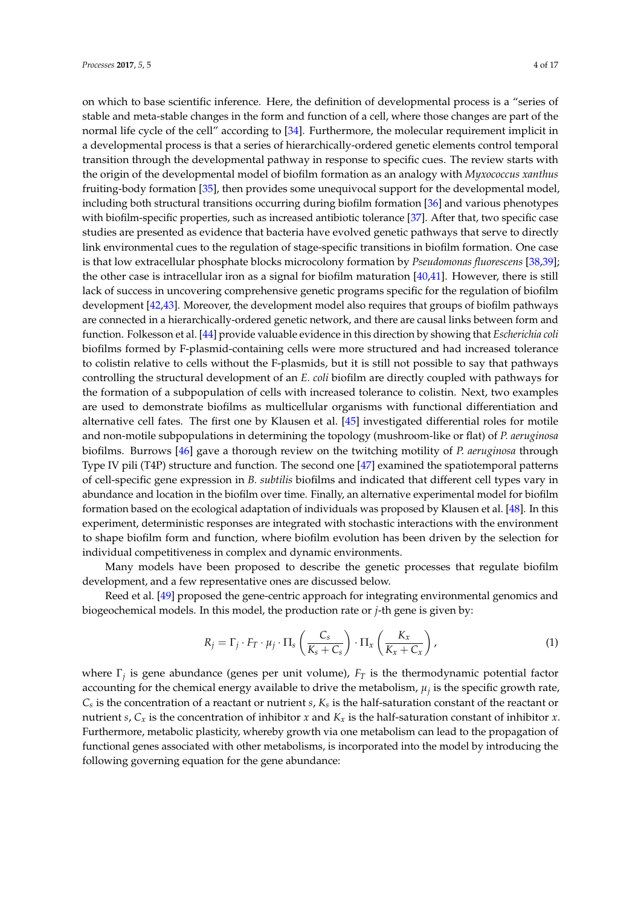on which to base scientific inference. Here, the definition of developmental process is a "series of stable and meta-stable changes in the form and function of a cell, where those changes are part of the normal life cycle of the cell" according to [\[34\]](#page-13-7). Furthermore, the molecular requirement implicit in a developmental process is that a series of hierarchically-ordered genetic elements control temporal transition through the developmental pathway in response to specific cues. The review starts with the origin of the developmental model of biofilm formation as an analogy with *Myxococcus xanthus* fruiting-body formation [\[35\]](#page-13-8), then provides some unequivocal support for the developmental model, including both structural transitions occurring during biofilm formation [\[36\]](#page-13-9) and various phenotypes with biofilm-specific properties, such as increased antibiotic tolerance [\[37\]](#page-13-10). After that, two specific case studies are presented as evidence that bacteria have evolved genetic pathways that serve to directly link environmental cues to the regulation of stage-specific transitions in biofilm formation. One case is that low extracellular phosphate blocks microcolony formation by *Pseudomonas fluorescens* [\[38,](#page-13-11)[39\]](#page-13-12); the other case is intracellular iron as a signal for biofilm maturation [\[40](#page-13-13)[,41\]](#page-13-14). However, there is still lack of success in uncovering comprehensive genetic programs specific for the regulation of biofilm development [\[42](#page-13-15)[,43\]](#page-13-16). Moreover, the development model also requires that groups of biofilm pathways are connected in a hierarchically-ordered genetic network, and there are causal links between form and function. Folkesson et al. [\[44\]](#page-13-17) provide valuable evidence in this direction by showing that *Escherichia coli* biofilms formed by F-plasmid-containing cells were more structured and had increased tolerance to colistin relative to cells without the F-plasmids, but it is still not possible to say that pathways controlling the structural development of an *E. coli* biofilm are directly coupled with pathways for the formation of a subpopulation of cells with increased tolerance to colistin. Next, two examples are used to demonstrate biofilms as multicellular organisms with functional differentiation and alternative cell fates. The first one by Klausen et al. [\[45\]](#page-13-18) investigated differential roles for motile and non-motile subpopulations in determining the topology (mushroom-like or flat) of *P. aeruginosa* biofilms. Burrows [\[46\]](#page-13-19) gave a thorough review on the twitching motility of *P. aeruginosa* through Type IV pili (T4P) structure and function. The second one [\[47\]](#page-13-20) examined the spatiotemporal patterns of cell-specific gene expression in *B. subtilis* biofilms and indicated that different cell types vary in abundance and location in the biofilm over time. Finally, an alternative experimental model for biofilm formation based on the ecological adaptation of individuals was proposed by Klausen et al. [\[48\]](#page-13-21). In this experiment, deterministic responses are integrated with stochastic interactions with the environment to shape biofilm form and function, where biofilm evolution has been driven by the selection for individual competitiveness in complex and dynamic environments.

Many models have been proposed to describe the genetic processes that regulate biofilm development, and a few representative ones are discussed below.

Reed et al. [\[49\]](#page-13-22) proposed the gene-centric approach for integrating environmental genomics and biogeochemical models. In this model, the production rate or *j*-th gene is given by:

<span id="page-3-0"></span>
$$
R_j = \Gamma_j \cdot F_T \cdot \mu_j \cdot \Pi_s \left( \frac{C_s}{K_s + C_s} \right) \cdot \Pi_x \left( \frac{K_x}{K_x + C_x} \right), \tag{1}
$$

where Γ*<sup>j</sup>* is gene abundance (genes per unit volume), *F<sup>T</sup>* is the thermodynamic potential factor accounting for the chemical energy available to drive the metabolism,  $\mu_j$  is the specific growth rate,  $C_s$  is the concentration of a reactant or nutrient *s*,  $K_s$  is the half-saturation constant of the reactant or nutrient *s*, *C<sup>x</sup>* is the concentration of inhibitor *x* and *K<sup>x</sup>* is the half-saturation constant of inhibitor *x*. Furthermore, metabolic plasticity, whereby growth via one metabolism can lead to the propagation of functional genes associated with other metabolisms, is incorporated into the model by introducing the following governing equation for the gene abundance: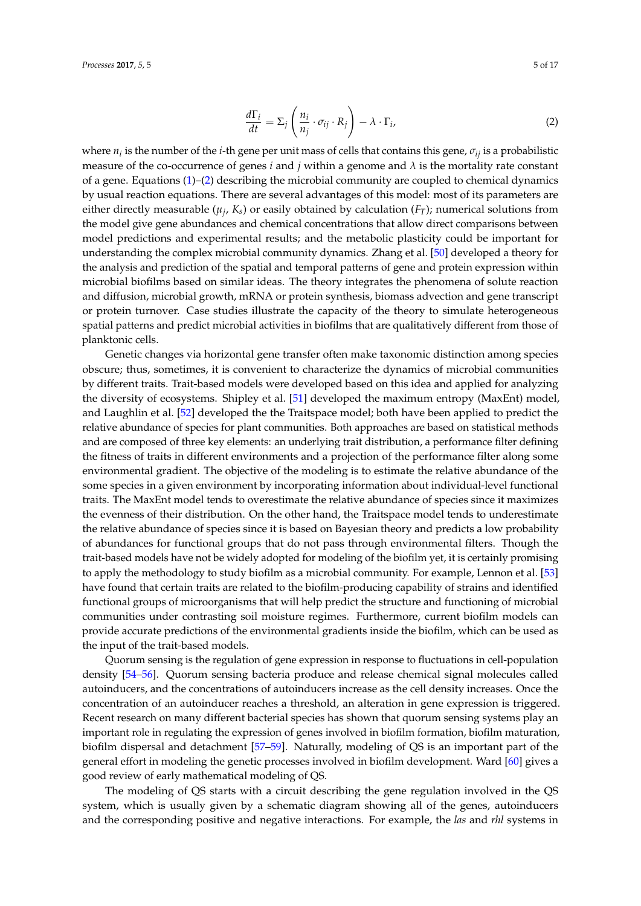<span id="page-4-0"></span>
$$
\frac{d\Gamma_i}{dt} = \Sigma_j \left( \frac{n_i}{n_j} \cdot \sigma_{ij} \cdot R_j \right) - \lambda \cdot \Gamma_i,
$$
\n(2)

where *n<sup>i</sup>* is the number of the *i*-th gene per unit mass of cells that contains this gene, *σij* is a probabilistic measure of the co-occurrence of genes *i* and *j* within a genome and *λ* is the mortality rate constant of a gene. Equations [\(1\)](#page-3-0)–[\(2\)](#page-4-0) describing the microbial community are coupled to chemical dynamics by usual reaction equations. There are several advantages of this model: most of its parameters are either directly measurable ( $\mu_j$ ,  $K_s$ ) or easily obtained by calculation ( $F_T$ ); numerical solutions from the model give gene abundances and chemical concentrations that allow direct comparisons between model predictions and experimental results; and the metabolic plasticity could be important for understanding the complex microbial community dynamics. Zhang et al. [\[50\]](#page-13-23) developed a theory for the analysis and prediction of the spatial and temporal patterns of gene and protein expression within microbial biofilms based on similar ideas. The theory integrates the phenomena of solute reaction and diffusion, microbial growth, mRNA or protein synthesis, biomass advection and gene transcript or protein turnover. Case studies illustrate the capacity of the theory to simulate heterogeneous spatial patterns and predict microbial activities in biofilms that are qualitatively different from those of planktonic cells.

Genetic changes via horizontal gene transfer often make taxonomic distinction among species obscure; thus, sometimes, it is convenient to characterize the dynamics of microbial communities by different traits. Trait-based models were developed based on this idea and applied for analyzing the diversity of ecosystems. Shipley et al. [\[51\]](#page-14-0) developed the maximum entropy (MaxEnt) model, and Laughlin et al. [\[52\]](#page-14-1) developed the the Traitspace model; both have been applied to predict the relative abundance of species for plant communities. Both approaches are based on statistical methods and are composed of three key elements: an underlying trait distribution, a performance filter defining the fitness of traits in different environments and a projection of the performance filter along some environmental gradient. The objective of the modeling is to estimate the relative abundance of the some species in a given environment by incorporating information about individual-level functional traits. The MaxEnt model tends to overestimate the relative abundance of species since it maximizes the evenness of their distribution. On the other hand, the Traitspace model tends to underestimate the relative abundance of species since it is based on Bayesian theory and predicts a low probability of abundances for functional groups that do not pass through environmental filters. Though the trait-based models have not be widely adopted for modeling of the biofilm yet, it is certainly promising to apply the methodology to study biofilm as a microbial community. For example, Lennon et al. [\[53\]](#page-14-2) have found that certain traits are related to the biofilm-producing capability of strains and identified functional groups of microorganisms that will help predict the structure and functioning of microbial communities under contrasting soil moisture regimes. Furthermore, current biofilm models can provide accurate predictions of the environmental gradients inside the biofilm, which can be used as the input of the trait-based models.

Quorum sensing is the regulation of gene expression in response to fluctuations in cell-population density [\[54–](#page-14-3)[56\]](#page-14-4). Quorum sensing bacteria produce and release chemical signal molecules called autoinducers, and the concentrations of autoinducers increase as the cell density increases. Once the concentration of an autoinducer reaches a threshold, an alteration in gene expression is triggered. Recent research on many different bacterial species has shown that quorum sensing systems play an important role in regulating the expression of genes involved in biofilm formation, biofilm maturation, biofilm dispersal and detachment [\[57–](#page-14-5)[59\]](#page-14-6). Naturally, modeling of QS is an important part of the general effort in modeling the genetic processes involved in biofilm development. Ward [\[60\]](#page-14-7) gives a good review of early mathematical modeling of QS.

The modeling of QS starts with a circuit describing the gene regulation involved in the QS system, which is usually given by a schematic diagram showing all of the genes, autoinducers and the corresponding positive and negative interactions. For example, the *las* and *rhl* systems in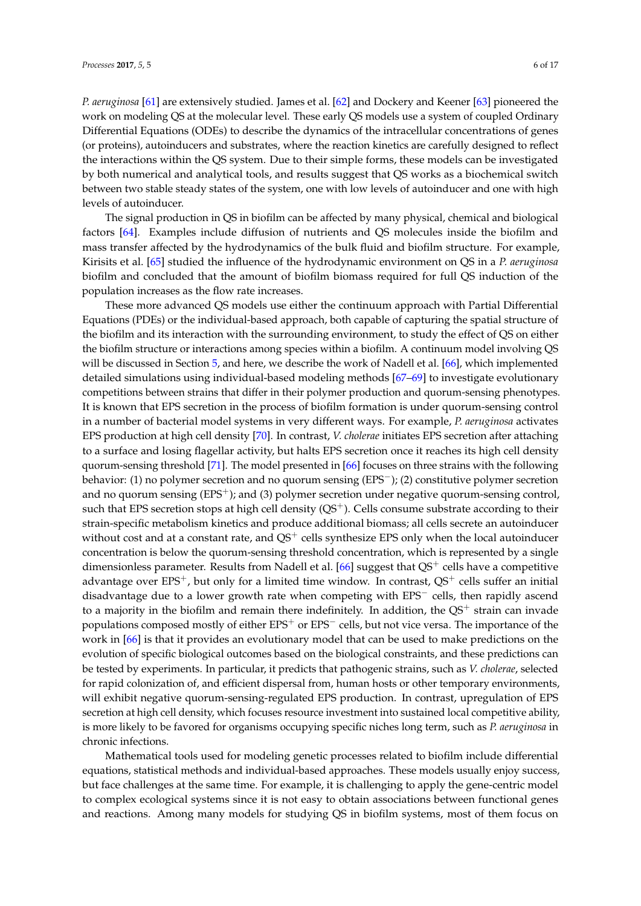*P. aeruginosa* [\[61\]](#page-14-8) are extensively studied. James et al. [\[62\]](#page-14-9) and Dockery and Keener [\[63\]](#page-14-10) pioneered the

work on modeling QS at the molecular level. These early QS models use a system of coupled Ordinary Differential Equations (ODEs) to describe the dynamics of the intracellular concentrations of genes (or proteins), autoinducers and substrates, where the reaction kinetics are carefully designed to reflect the interactions within the QS system. Due to their simple forms, these models can be investigated by both numerical and analytical tools, and results suggest that QS works as a biochemical switch between two stable steady states of the system, one with low levels of autoinducer and one with high levels of autoinducer.

The signal production in QS in biofilm can be affected by many physical, chemical and biological factors [\[64\]](#page-14-11). Examples include diffusion of nutrients and QS molecules inside the biofilm and mass transfer affected by the hydrodynamics of the bulk fluid and biofilm structure. For example, Kirisits et al. [\[65\]](#page-14-12) studied the influence of the hydrodynamic environment on QS in a *P. aeruginosa* biofilm and concluded that the amount of biofilm biomass required for full QS induction of the population increases as the flow rate increases.

These more advanced QS models use either the continuum approach with Partial Differential Equations (PDEs) or the individual-based approach, both capable of capturing the spatial structure of the biofilm and its interaction with the surrounding environment, to study the effect of QS on either the biofilm structure or interactions among species within a biofilm. A continuum model involving QS will be discussed in Section [5,](#page-9-0) and here, we describe the work of Nadell et al. [\[66\]](#page-14-13), which implemented detailed simulations using individual-based modeling methods [\[67–](#page-14-14)[69\]](#page-14-15) to investigate evolutionary competitions between strains that differ in their polymer production and quorum-sensing phenotypes. It is known that EPS secretion in the process of biofilm formation is under quorum-sensing control in a number of bacterial model systems in very different ways. For example, *P. aeruginosa* activates EPS production at high cell density [\[70\]](#page-14-16). In contrast, *V. cholerae* initiates EPS secretion after attaching to a surface and losing flagellar activity, but halts EPS secretion once it reaches its high cell density quorum-sensing threshold [\[71\]](#page-14-17). The model presented in [\[66\]](#page-14-13) focuses on three strains with the following behavior: (1) no polymer secretion and no quorum sensing (EPS−); (2) constitutive polymer secretion and no quorum sensing  $(EPS^+)$ ; and (3) polymer secretion under negative quorum-sensing control, such that EPS secretion stops at high cell density  $(QS<sup>+</sup>)$ . Cells consume substrate according to their strain-specific metabolism kinetics and produce additional biomass; all cells secrete an autoinducer without cost and at a constant rate, and  $QS<sup>+</sup>$  cells synthesize EPS only when the local autoinducer concentration is below the quorum-sensing threshold concentration, which is represented by a single dimensionless parameter. Results from Nadell et al. [\[66\]](#page-14-13) suggest that  $QS^+$  cells have a competitive advantage over  $EPS^+$ , but only for a limited time window. In contrast,  $QS^+$  cells suffer an initial disadvantage due to a lower growth rate when competing with EPS<sup>−</sup> cells, then rapidly ascend to a majority in the biofilm and remain there indefinitely. In addition, the  $QS<sup>+</sup>$  strain can invade populations composed mostly of either EPS<sup>+</sup> or EPS<sup>−</sup> cells, but not vice versa. The importance of the work in [\[66\]](#page-14-13) is that it provides an evolutionary model that can be used to make predictions on the evolution of specific biological outcomes based on the biological constraints, and these predictions can be tested by experiments. In particular, it predicts that pathogenic strains, such as *V. cholerae*, selected for rapid colonization of, and efficient dispersal from, human hosts or other temporary environments, will exhibit negative quorum-sensing-regulated EPS production. In contrast, upregulation of EPS secretion at high cell density, which focuses resource investment into sustained local competitive ability, is more likely to be favored for organisms occupying specific niches long term, such as *P. aeruginosa* in chronic infections.

Mathematical tools used for modeling genetic processes related to biofilm include differential equations, statistical methods and individual-based approaches. These models usually enjoy success, but face challenges at the same time. For example, it is challenging to apply the gene-centric model to complex ecological systems since it is not easy to obtain associations between functional genes and reactions. Among many models for studying QS in biofilm systems, most of them focus on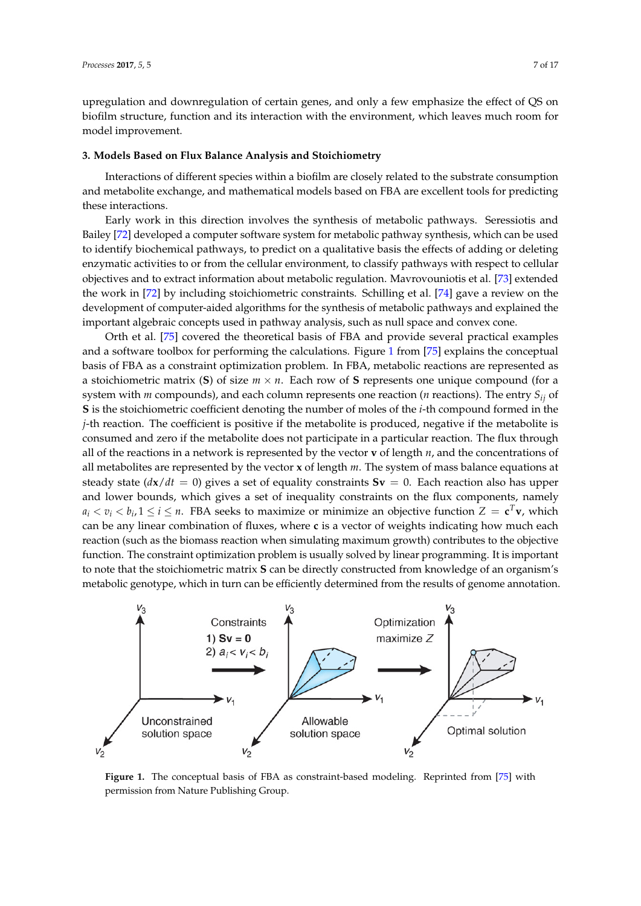upregulation and downregulation of certain genes, and only a few emphasize the effect of QS on biofilm structure, function and its interaction with the environment, which leaves much room for model improvement.

#### <span id="page-6-0"></span>**3. Models Based on Flux Balance Analysis and Stoichiometry**

Interactions of different species within a biofilm are closely related to the substrate consumption and metabolite exchange, and mathematical models based on FBA are excellent tools for predicting these interactions.

Early work in this direction involves the synthesis of metabolic pathways. Seressiotis and Bailey [\[72\]](#page-14-18) developed a computer software system for metabolic pathway synthesis, which can be used to identify biochemical pathways, to predict on a qualitative basis the effects of adding or deleting enzymatic activities to or from the cellular environment, to classify pathways with respect to cellular objectives and to extract information about metabolic regulation. Mavrovouniotis et al. [\[73\]](#page-14-19) extended the work in [\[72\]](#page-14-18) by including stoichiometric constraints. Schilling et al. [\[74\]](#page-14-20) gave a review on the development of computer-aided algorithms for the synthesis of metabolic pathways and explained the important algebraic concepts used in pathway analysis, such as null space and convex cone.

Orth et al. [\[75\]](#page-14-21) covered the theoretical basis of FBA and provide several practical examples and a software toolbox for performing the calculations. Figure [1](#page-6-1) from [\[75\]](#page-14-21) explains the conceptual basis of FBA as a constraint optimization problem. In FBA, metabolic reactions are represented as a stoichiometric matrix (**S**) of size  $m \times n$ . Each row of **S** represents one unique compound (for a system with *m* compounds), and each column represents one reaction (*n* reactions). The entry *Sij* of **S** is the stoichiometric coefficient denoting the number of moles of the *i*-th compound formed in the *j*-th reaction. The coefficient is positive if the metabolite is produced, negative if the metabolite is consumed and zero if the metabolite does not participate in a particular reaction. The flux through all of the reactions in a network is represented by the vector **v** of length *n*, and the concentrations of all metabolites are represented by the vector **x** of length *m*. The system of mass balance equations at steady state  $\frac{dx}{dt} = 0$  gives a set of equality constraints  $Sv = 0$ . Each reaction also has upper and lower bounds, which gives a set of inequality constraints on the flux components, namely  $a_i < v_i < b_i$ ,  $1 \leq i \leq n$ . FBA seeks to maximize or minimize an objective function  $Z = \mathbf{c}^T \mathbf{v}$ , which can be any linear combination of fluxes, where **c** is a vector of weights indicating how much each reaction (such as the biomass reaction when simulating maximum growth) contributes to the objective function. The constraint optimization problem is usually solved by linear programming. It is important to note that the stoichiometric matrix **S** can be directly constructed from knowledge of an organism's metabolic genotype, which in turn can be efficiently determined from the results of genome annotation.

<span id="page-6-1"></span>

**Figure 1.** The conceptual basis of FBA as constraint-based modeling. Reprinted from [\[75\]](#page-14-21) with permission from Nature Publishing Group.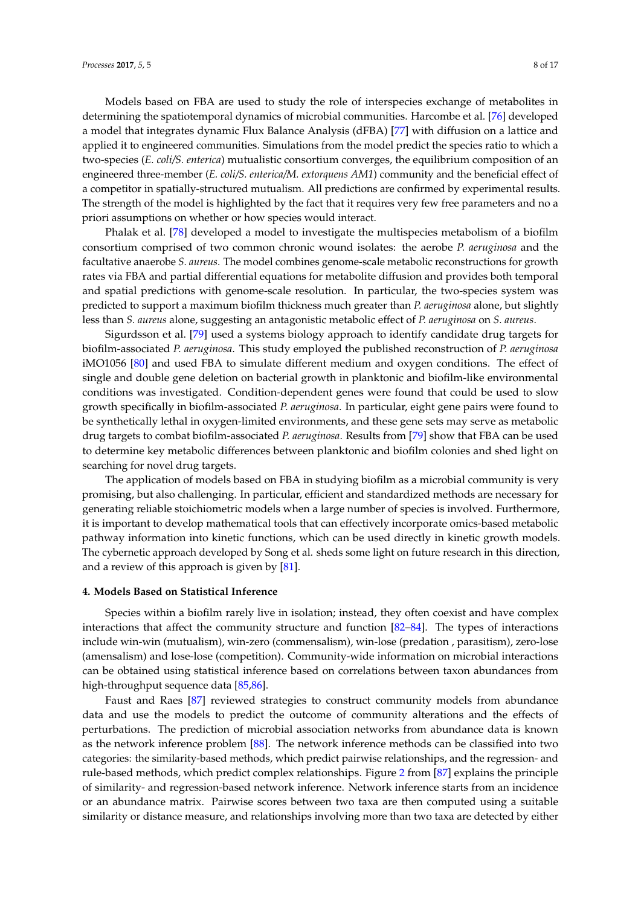Models based on FBA are used to study the role of interspecies exchange of metabolites in determining the spatiotemporal dynamics of microbial communities. Harcombe et al. [\[76\]](#page-15-0) developed a model that integrates dynamic Flux Balance Analysis (dFBA) [\[77\]](#page-15-1) with diffusion on a lattice and applied it to engineered communities. Simulations from the model predict the species ratio to which a two-species (*E. coli/S. enterica*) mutualistic consortium converges, the equilibrium composition of an engineered three-member (*E. coli/S. enterica/M. extorquens AM1*) community and the beneficial effect of a competitor in spatially-structured mutualism. All predictions are confirmed by experimental results. The strength of the model is highlighted by the fact that it requires very few free parameters and no a priori assumptions on whether or how species would interact.

Phalak et al. [\[78\]](#page-15-2) developed a model to investigate the multispecies metabolism of a biofilm consortium comprised of two common chronic wound isolates: the aerobe *P. aeruginosa* and the facultative anaerobe *S. aureus*. The model combines genome-scale metabolic reconstructions for growth rates via FBA and partial differential equations for metabolite diffusion and provides both temporal and spatial predictions with genome-scale resolution. In particular, the two-species system was predicted to support a maximum biofilm thickness much greater than *P. aeruginosa* alone, but slightly less than *S. aureus* alone, suggesting an antagonistic metabolic effect of *P. aeruginosa* on *S. aureus*.

Sigurdsson et al. [\[79\]](#page-15-3) used a systems biology approach to identify candidate drug targets for biofilm-associated *P. aeruginosa*. This study employed the published reconstruction of *P. aeruginosa* iMO1056 [\[80\]](#page-15-4) and used FBA to simulate different medium and oxygen conditions. The effect of single and double gene deletion on bacterial growth in planktonic and biofilm-like environmental conditions was investigated. Condition-dependent genes were found that could be used to slow growth specifically in biofilm-associated *P. aeruginosa*. In particular, eight gene pairs were found to be synthetically lethal in oxygen-limited environments, and these gene sets may serve as metabolic drug targets to combat biofilm-associated *P. aeruginosa*. Results from [\[79\]](#page-15-3) show that FBA can be used to determine key metabolic differences between planktonic and biofilm colonies and shed light on searching for novel drug targets.

The application of models based on FBA in studying biofilm as a microbial community is very promising, but also challenging. In particular, efficient and standardized methods are necessary for generating reliable stoichiometric models when a large number of species is involved. Furthermore, it is important to develop mathematical tools that can effectively incorporate omics-based metabolic pathway information into kinetic functions, which can be used directly in kinetic growth models. The cybernetic approach developed by Song et al. sheds some light on future research in this direction, and a review of this approach is given by [\[81\]](#page-15-5).

#### <span id="page-7-0"></span>**4. Models Based on Statistical Inference**

Species within a biofilm rarely live in isolation; instead, they often coexist and have complex interactions that affect the community structure and function [\[82](#page-15-6)[–84\]](#page-15-7). The types of interactions include win-win (mutualism), win-zero (commensalism), win-lose (predation , parasitism), zero-lose (amensalism) and lose-lose (competition). Community-wide information on microbial interactions can be obtained using statistical inference based on correlations between taxon abundances from high-throughput sequence data [\[85,](#page-15-8)[86\]](#page-15-9).

Faust and Raes [\[87\]](#page-15-10) reviewed strategies to construct community models from abundance data and use the models to predict the outcome of community alterations and the effects of perturbations. The prediction of microbial association networks from abundance data is known as the network inference problem [\[88\]](#page-15-11). The network inference methods can be classified into two categories: the similarity-based methods, which predict pairwise relationships, and the regression- and rule-based methods, which predict complex relationships. Figure [2](#page-8-0) from [\[87\]](#page-15-10) explains the principle of similarity- and regression-based network inference. Network inference starts from an incidence or an abundance matrix. Pairwise scores between two taxa are then computed using a suitable similarity or distance measure, and relationships involving more than two taxa are detected by either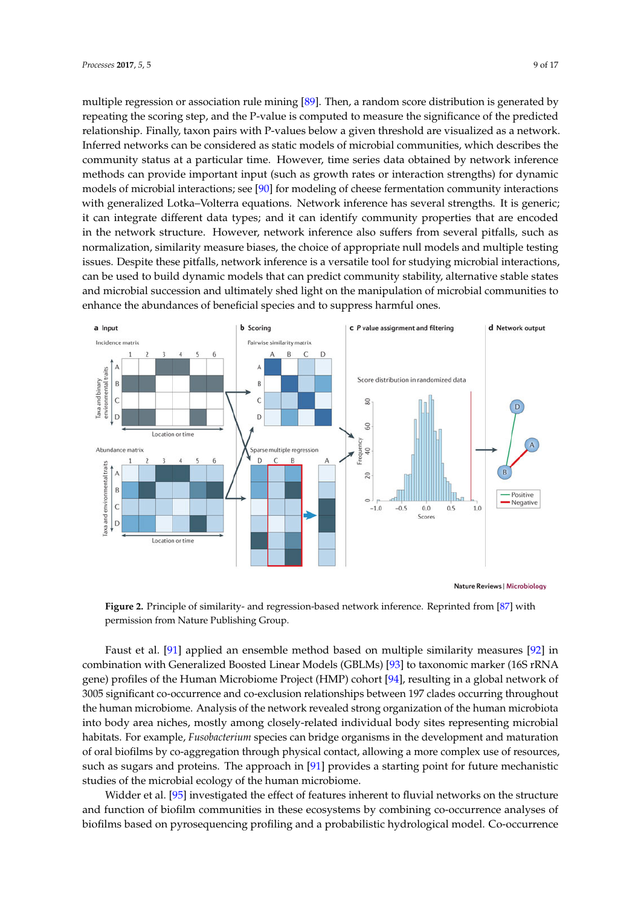multiple regression or association rule mining [\[89\]](#page-15-12). Then, a random score distribution is generated by repeating the scoring step, and the P-value is computed to measure the significance of the predicted relationship. Finally, taxon pairs with P-values below a given threshold are visualized as a network. Inferred networks can be considered as static models of microbial communities, which describes the community status at a particular time. However, time series data obtained by network inference methods can provide important input (such as growth rates or interaction strengths) for dynamic models of microbial interactions; see [\[90\]](#page-15-13) for modeling of cheese fermentation community interactions with generalized Lotka–Volterra equations. Network inference has several strengths. It is generic; it can integrate different data types; and it can identify community properties that are encoded in the network structure. However, network inference also suffers from several pitfalls, such as normalization, similarity measure biases, the choice of appropriate null models and multiple testing issues. Despite these pitfalls, network inference is a versatile tool for studying microbial interactions, can be used to build dynamic models that can predict community stability, alternative stable states and microbial succession and ultimately shed light on the manipulation of microbial communities to enhance the abundances of beneficial species and to suppress harmful ones.

<span id="page-8-0"></span>

**Nature Reviews | Microbiology** 

**Figure 2.** Principle of similarity- and regression-based network inference. Reprinted from [\[87\]](#page-15-10) with permission from Nature Publishing Group.

Faust et al. [\[91\]](#page-15-14) applied an ensemble method based on multiple similarity measures [\[92\]](#page-15-15) in combination with Generalized Boosted Linear Models (GBLMs) [\[93\]](#page-15-16) to taxonomic marker (16S rRNA gene) profiles of the Human Microbiome Project (HMP) cohort [\[94\]](#page-15-17), resulting in a global network of 3005 significant co-occurrence and co-exclusion relationships between 197 clades occurring throughout the human microbiome. Analysis of the network revealed strong organization of the human microbiota into body area niches, mostly among closely-related individual body sites representing microbial habitats. For example, *Fusobacterium* species can bridge organisms in the development and maturation of oral biofilms by co-aggregation through physical contact, allowing a more complex use of resources, such as sugars and proteins. The approach in [\[91\]](#page-15-14) provides a starting point for future mechanistic studies of the microbial ecology of the human microbiome.

Widder et al. [\[95\]](#page-15-18) investigated the effect of features inherent to fluvial networks on the structure and function of biofilm communities in these ecosystems by combining co-occurrence analyses of biofilms based on pyrosequencing profiling and a probabilistic hydrological model. Co-occurrence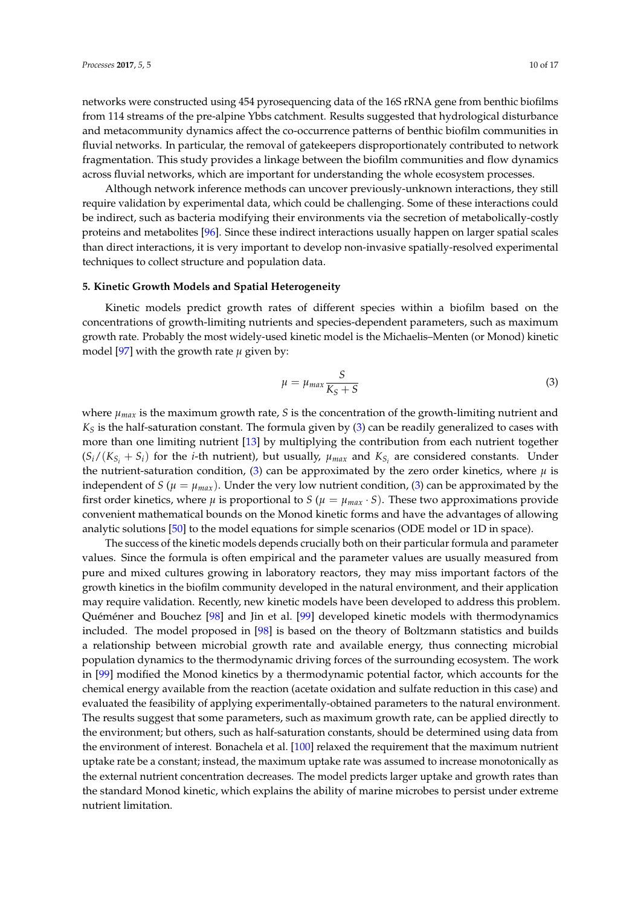networks were constructed using 454 pyrosequencing data of the 16S rRNA gene from benthic biofilms from 114 streams of the pre-alpine Ybbs catchment. Results suggested that hydrological disturbance and metacommunity dynamics affect the co-occurrence patterns of benthic biofilm communities in fluvial networks. In particular, the removal of gatekeepers disproportionately contributed to network fragmentation. This study provides a linkage between the biofilm communities and flow dynamics across fluvial networks, which are important for understanding the whole ecosystem processes.

Although network inference methods can uncover previously-unknown interactions, they still require validation by experimental data, which could be challenging. Some of these interactions could be indirect, such as bacteria modifying their environments via the secretion of metabolically-costly proteins and metabolites [\[96\]](#page-15-19). Since these indirect interactions usually happen on larger spatial scales than direct interactions, it is very important to develop non-invasive spatially-resolved experimental techniques to collect structure and population data.

# <span id="page-9-0"></span>**5. Kinetic Growth Models and Spatial Heterogeneity**

Kinetic models predict growth rates of different species within a biofilm based on the concentrations of growth-limiting nutrients and species-dependent parameters, such as maximum growth rate. Probably the most widely-used kinetic model is the Michaelis–Menten (or Monod) kinetic model  $[97]$  with the growth rate  $\mu$  given by:

<span id="page-9-1"></span>
$$
\mu = \mu_{max} \frac{S}{K_S + S} \tag{3}
$$

where  $\mu_{max}$  is the maximum growth rate, *S* is the concentration of the growth-limiting nutrient and *K<sup>S</sup>* is the half-saturation constant. The formula given by [\(3\)](#page-9-1) can be readily generalized to cases with more than one limiting nutrient [\[13\]](#page-12-9) by multiplying the contribution from each nutrient together  $(S_i/(K_{S_i} + S_i)$  for the *i*-th nutrient), but usually,  $\mu_{max}$  and  $K_{S_i}$  are considered constants. Under the nutrient-saturation condition, [\(3\)](#page-9-1) can be approximated by the zero order kinetics, where  $\mu$  is independent of  $S(\mu = \mu_{max})$ . Under the very low nutrient condition, [\(3\)](#page-9-1) can be approximated by the first order kinetics, where  $\mu$  is proportional to *S* ( $\mu = \mu_{max} \cdot S$ ). These two approximations provide convenient mathematical bounds on the Monod kinetic forms and have the advantages of allowing analytic solutions [\[50\]](#page-13-23) to the model equations for simple scenarios (ODE model or 1D in space).

The success of the kinetic models depends crucially both on their particular formula and parameter values. Since the formula is often empirical and the parameter values are usually measured from pure and mixed cultures growing in laboratory reactors, they may miss important factors of the growth kinetics in the biofilm community developed in the natural environment, and their application may require validation. Recently, new kinetic models have been developed to address this problem. Quéméner and Bouchez [\[98\]](#page-15-21) and Jin et al. [\[99\]](#page-15-22) developed kinetic models with thermodynamics included. The model proposed in [\[98\]](#page-15-21) is based on the theory of Boltzmann statistics and builds a relationship between microbial growth rate and available energy, thus connecting microbial population dynamics to the thermodynamic driving forces of the surrounding ecosystem. The work in [\[99\]](#page-15-22) modified the Monod kinetics by a thermodynamic potential factor, which accounts for the chemical energy available from the reaction (acetate oxidation and sulfate reduction in this case) and evaluated the feasibility of applying experimentally-obtained parameters to the natural environment. The results suggest that some parameters, such as maximum growth rate, can be applied directly to the environment; but others, such as half-saturation constants, should be determined using data from the environment of interest. Bonachela et al. [\[100\]](#page-15-23) relaxed the requirement that the maximum nutrient uptake rate be a constant; instead, the maximum uptake rate was assumed to increase monotonically as the external nutrient concentration decreases. The model predicts larger uptake and growth rates than the standard Monod kinetic, which explains the ability of marine microbes to persist under extreme nutrient limitation.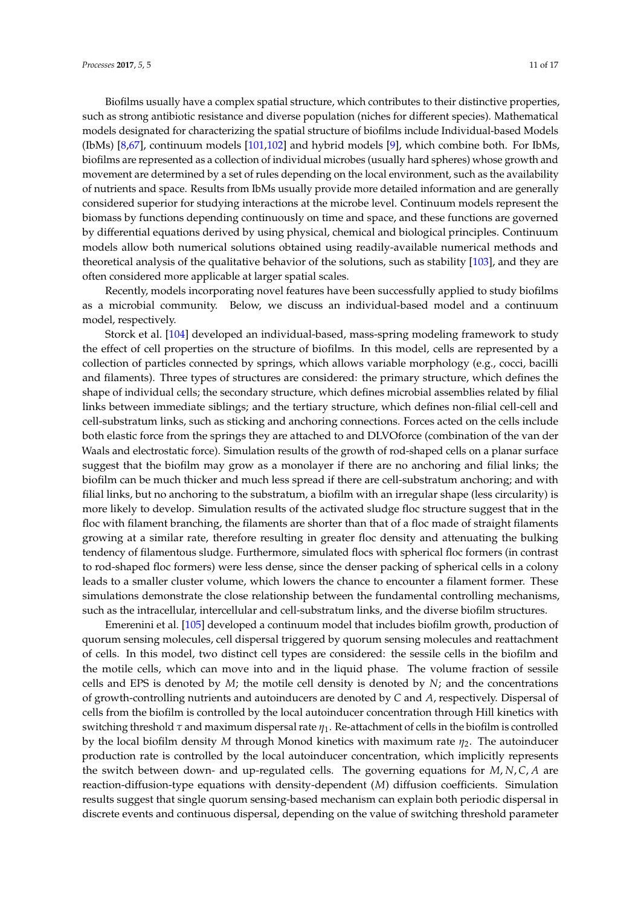Biofilms usually have a complex spatial structure, which contributes to their distinctive properties, such as strong antibiotic resistance and diverse population (niches for different species). Mathematical models designated for characterizing the spatial structure of biofilms include Individual-based Models (IbMs) [\[8](#page-12-7)[,67\]](#page-14-14), continuum models [\[101,](#page-15-24)[102\]](#page-15-25) and hybrid models [\[9\]](#page-12-20), which combine both. For IbMs, biofilms are represented as a collection of individual microbes (usually hard spheres) whose growth and movement are determined by a set of rules depending on the local environment, such as the availability of nutrients and space. Results from IbMs usually provide more detailed information and are generally considered superior for studying interactions at the microbe level. Continuum models represent the biomass by functions depending continuously on time and space, and these functions are governed by differential equations derived by using physical, chemical and biological principles. Continuum models allow both numerical solutions obtained using readily-available numerical methods and theoretical analysis of the qualitative behavior of the solutions, such as stability [\[103\]](#page-15-26), and they are often considered more applicable at larger spatial scales.

Recently, models incorporating novel features have been successfully applied to study biofilms as a microbial community. Below, we discuss an individual-based model and a continuum model, respectively.

Storck et al. [\[104\]](#page-15-27) developed an individual-based, mass-spring modeling framework to study the effect of cell properties on the structure of biofilms. In this model, cells are represented by a collection of particles connected by springs, which allows variable morphology (e.g., cocci, bacilli and filaments). Three types of structures are considered: the primary structure, which defines the shape of individual cells; the secondary structure, which defines microbial assemblies related by filial links between immediate siblings; and the tertiary structure, which defines non-filial cell-cell and cell-substratum links, such as sticking and anchoring connections. Forces acted on the cells include both elastic force from the springs they are attached to and DLVOforce (combination of the van der Waals and electrostatic force). Simulation results of the growth of rod-shaped cells on a planar surface suggest that the biofilm may grow as a monolayer if there are no anchoring and filial links; the biofilm can be much thicker and much less spread if there are cell-substratum anchoring; and with filial links, but no anchoring to the substratum, a biofilm with an irregular shape (less circularity) is more likely to develop. Simulation results of the activated sludge floc structure suggest that in the floc with filament branching, the filaments are shorter than that of a floc made of straight filaments growing at a similar rate, therefore resulting in greater floc density and attenuating the bulking tendency of filamentous sludge. Furthermore, simulated flocs with spherical floc formers (in contrast to rod-shaped floc formers) were less dense, since the denser packing of spherical cells in a colony leads to a smaller cluster volume, which lowers the chance to encounter a filament former. These simulations demonstrate the close relationship between the fundamental controlling mechanisms, such as the intracellular, intercellular and cell-substratum links, and the diverse biofilm structures.

Emerenini et al. [\[105\]](#page-16-0) developed a continuum model that includes biofilm growth, production of quorum sensing molecules, cell dispersal triggered by quorum sensing molecules and reattachment of cells. In this model, two distinct cell types are considered: the sessile cells in the biofilm and the motile cells, which can move into and in the liquid phase. The volume fraction of sessile cells and EPS is denoted by *M*; the motile cell density is denoted by *N*; and the concentrations of growth-controlling nutrients and autoinducers are denoted by *C* and *A*, respectively. Dispersal of cells from the biofilm is controlled by the local autoinducer concentration through Hill kinetics with switching threshold *τ* and maximum dispersal rate *η*1. Re-attachment of cells in the biofilm is controlled by the local biofilm density *M* through Monod kinetics with maximum rate *η*2. The autoinducer production rate is controlled by the local autoinducer concentration, which implicitly represents the switch between down- and up-regulated cells. The governing equations for *M*, *N*, *C*, *A* are reaction-diffusion-type equations with density-dependent (*M*) diffusion coefficients. Simulation results suggest that single quorum sensing-based mechanism can explain both periodic dispersal in discrete events and continuous dispersal, depending on the value of switching threshold parameter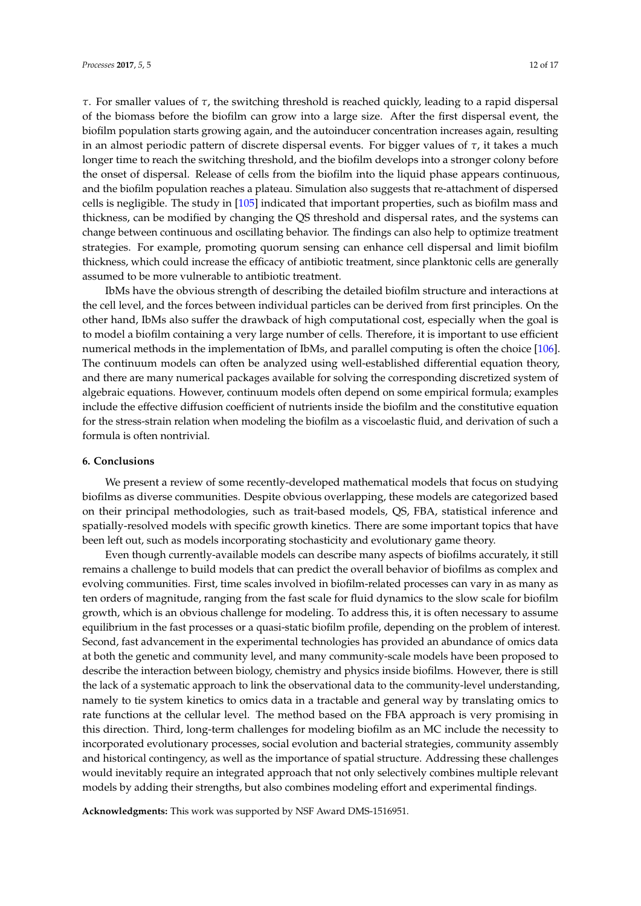*τ*. For smaller values of *τ*, the switching threshold is reached quickly, leading to a rapid dispersal of the biomass before the biofilm can grow into a large size. After the first dispersal event, the biofilm population starts growing again, and the autoinducer concentration increases again, resulting in an almost periodic pattern of discrete dispersal events. For bigger values of *τ*, it takes a much longer time to reach the switching threshold, and the biofilm develops into a stronger colony before the onset of dispersal. Release of cells from the biofilm into the liquid phase appears continuous, and the biofilm population reaches a plateau. Simulation also suggests that re-attachment of dispersed cells is negligible. The study in [\[105\]](#page-16-0) indicated that important properties, such as biofilm mass and thickness, can be modified by changing the QS threshold and dispersal rates, and the systems can change between continuous and oscillating behavior. The findings can also help to optimize treatment strategies. For example, promoting quorum sensing can enhance cell dispersal and limit biofilm thickness, which could increase the efficacy of antibiotic treatment, since planktonic cells are generally assumed to be more vulnerable to antibiotic treatment.

IbMs have the obvious strength of describing the detailed biofilm structure and interactions at the cell level, and the forces between individual particles can be derived from first principles. On the other hand, IbMs also suffer the drawback of high computational cost, especially when the goal is to model a biofilm containing a very large number of cells. Therefore, it is important to use efficient numerical methods in the implementation of IbMs, and parallel computing is often the choice [\[106\]](#page-16-1). The continuum models can often be analyzed using well-established differential equation theory, and there are many numerical packages available for solving the corresponding discretized system of algebraic equations. However, continuum models often depend on some empirical formula; examples include the effective diffusion coefficient of nutrients inside the biofilm and the constitutive equation for the stress-strain relation when modeling the biofilm as a viscoelastic fluid, and derivation of such a formula is often nontrivial.

### **6. Conclusions**

We present a review of some recently-developed mathematical models that focus on studying biofilms as diverse communities. Despite obvious overlapping, these models are categorized based on their principal methodologies, such as trait-based models, QS, FBA, statistical inference and spatially-resolved models with specific growth kinetics. There are some important topics that have been left out, such as models incorporating stochasticity and evolutionary game theory.

Even though currently-available models can describe many aspects of biofilms accurately, it still remains a challenge to build models that can predict the overall behavior of biofilms as complex and evolving communities. First, time scales involved in biofilm-related processes can vary in as many as ten orders of magnitude, ranging from the fast scale for fluid dynamics to the slow scale for biofilm growth, which is an obvious challenge for modeling. To address this, it is often necessary to assume equilibrium in the fast processes or a quasi-static biofilm profile, depending on the problem of interest. Second, fast advancement in the experimental technologies has provided an abundance of omics data at both the genetic and community level, and many community-scale models have been proposed to describe the interaction between biology, chemistry and physics inside biofilms. However, there is still the lack of a systematic approach to link the observational data to the community-level understanding, namely to tie system kinetics to omics data in a tractable and general way by translating omics to rate functions at the cellular level. The method based on the FBA approach is very promising in this direction. Third, long-term challenges for modeling biofilm as an MC include the necessity to incorporated evolutionary processes, social evolution and bacterial strategies, community assembly and historical contingency, as well as the importance of spatial structure. Addressing these challenges would inevitably require an integrated approach that not only selectively combines multiple relevant models by adding their strengths, but also combines modeling effort and experimental findings.

**Acknowledgments:** This work was supported by NSF Award DMS-1516951.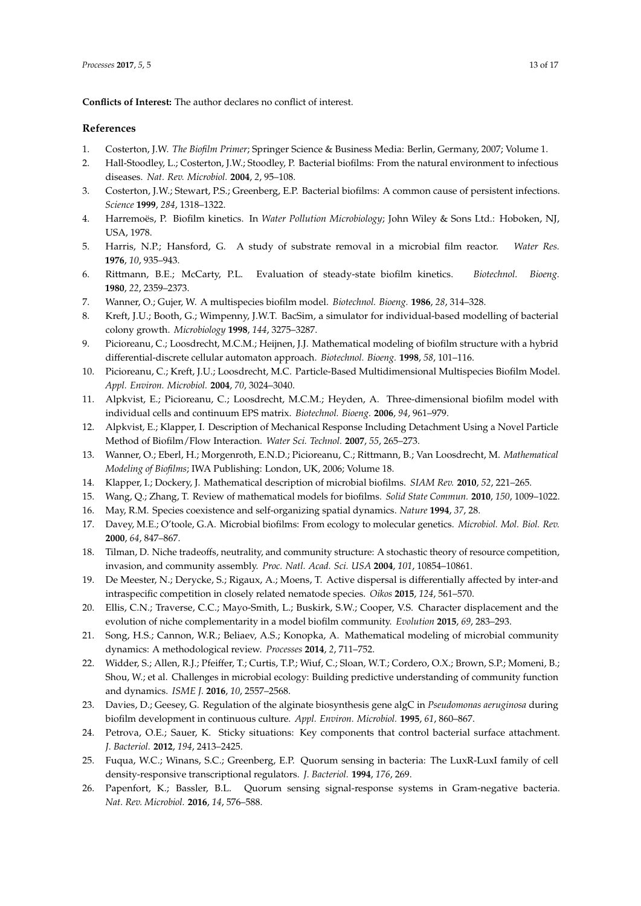**Conflicts of Interest:** The author declares no conflict of interest.

## **References**

- <span id="page-12-0"></span>1. Costerton, J.W. *The Biofilm Primer*; Springer Science & Business Media: Berlin, Germany, 2007; Volume 1.
- <span id="page-12-1"></span>2. Hall-Stoodley, L.; Costerton, J.W.; Stoodley, P. Bacterial biofilms: From the natural environment to infectious diseases. *Nat. Rev. Microbiol.* **2004**, *2*, 95–108.
- <span id="page-12-2"></span>3. Costerton, J.W.; Stewart, P.S.; Greenberg, E.P. Bacterial biofilms: A common cause of persistent infections. *Science* **1999**, *284*, 1318–1322.
- <span id="page-12-3"></span>4. Harremoës, P. Biofilm kinetics. In *Water Pollution Microbiology*; John Wiley & Sons Ltd.: Hoboken, NJ, USA, 1978.
- <span id="page-12-4"></span>5. Harris, N.P.; Hansford, G. A study of substrate removal in a microbial film reactor. *Water Res.* **1976**, *10*, 935–943.
- <span id="page-12-5"></span>6. Rittmann, B.E.; McCarty, P.L. Evaluation of steady-state biofilm kinetics. *Biotechnol. Bioeng.* **1980**, *22*, 2359–2373.
- <span id="page-12-6"></span>7. Wanner, O.; Gujer, W. A multispecies biofilm model. *Biotechnol. Bioeng.* **1986**, *28*, 314–328.
- <span id="page-12-7"></span>8. Kreft, J.U.; Booth, G.; Wimpenny, J.W.T. BacSim, a simulator for individual-based modelling of bacterial colony growth. *Microbiology* **1998**, *144*, 3275–3287.
- <span id="page-12-20"></span>9. Picioreanu, C.; Loosdrecht, M.C.M.; Heijnen, J.J. Mathematical modeling of biofilm structure with a hybrid differential-discrete cellular automaton approach. *Biotechnol. Bioeng.* **1998**, *58*, 101–116.
- 10. Picioreanu, C.; Kreft, J.U.; Loosdrecht, M.C. Particle-Based Multidimensional Multispecies Biofilm Model. *Appl. Environ. Microbiol.* **2004**, *70*, 3024–3040.
- 11. Alpkvist, E.; Picioreanu, C.; Loosdrecht, M.C.M.; Heyden, A. Three-dimensional biofilm model with individual cells and continuum EPS matrix. *Biotechnol. Bioeng.* **2006**, *94*, 961–979.
- <span id="page-12-8"></span>12. Alpkvist, E.; Klapper, I. Description of Mechanical Response Including Detachment Using a Novel Particle Method of Biofilm/Flow Interaction. *Water Sci. Technol.* **2007**, *55*, 265–273.
- <span id="page-12-9"></span>13. Wanner, O.; Eberl, H.; Morgenroth, E.N.D.; Picioreanu, C.; Rittmann, B.; Van Loosdrecht, M. *Mathematical Modeling of Biofilms*; IWA Publishing: London, UK, 2006; Volume 18.
- <span id="page-12-10"></span>14. Klapper, I.; Dockery, J. Mathematical description of microbial biofilms. *SIAM Rev.* **2010**, *52*, 221–265.
- <span id="page-12-11"></span>15. Wang, Q.; Zhang, T. Review of mathematical models for biofilms. *Solid State Commun.* **2010**, *150*, 1009–1022.
- <span id="page-12-12"></span>16. May, R.M. Species coexistence and self-organizing spatial dynamics. *Nature* **1994**, *37*, 28.
- 17. Davey, M.E.; O'toole, G.A. Microbial biofilms: From ecology to molecular genetics. *Microbiol. Mol. Biol. Rev.* **2000**, *64*, 847–867.
- 18. Tilman, D. Niche tradeoffs, neutrality, and community structure: A stochastic theory of resource competition, invasion, and community assembly. *Proc. Natl. Acad. Sci. USA* **2004**, *101*, 10854–10861.
- 19. De Meester, N.; Derycke, S.; Rigaux, A.; Moens, T. Active dispersal is differentially affected by inter-and intraspecific competition in closely related nematode species. *Oikos* **2015**, *124*, 561–570.
- <span id="page-12-13"></span>20. Ellis, C.N.; Traverse, C.C.; Mayo-Smith, L.; Buskirk, S.W.; Cooper, V.S. Character displacement and the evolution of niche complementarity in a model biofilm community. *Evolution* **2015**, *69*, 283–293.
- <span id="page-12-14"></span>21. Song, H.S.; Cannon, W.R.; Beliaev, A.S.; Konopka, A. Mathematical modeling of microbial community dynamics: A methodological review. *Processes* **2014**, *2*, 711–752.
- <span id="page-12-15"></span>22. Widder, S.; Allen, R.J.; Pfeiffer, T.; Curtis, T.P.; Wiuf, C.; Sloan, W.T.; Cordero, O.X.; Brown, S.P.; Momeni, B.; Shou, W.; et al. Challenges in microbial ecology: Building predictive understanding of community function and dynamics. *ISME J.* **2016**, *10*, 2557–2568.
- <span id="page-12-16"></span>23. Davies, D.; Geesey, G. Regulation of the alginate biosynthesis gene algC in *Pseudomonas aeruginosa* during biofilm development in continuous culture. *Appl. Environ. Microbiol.* **1995**, *61*, 860–867.
- <span id="page-12-17"></span>24. Petrova, O.E.; Sauer, K. Sticky situations: Key components that control bacterial surface attachment. *J. Bacteriol.* **2012**, *194*, 2413–2425.
- <span id="page-12-18"></span>25. Fuqua, W.C.; Winans, S.C.; Greenberg, E.P. Quorum sensing in bacteria: The LuxR-LuxI family of cell density-responsive transcriptional regulators. *J. Bacteriol.* **1994**, *176*, 269.
- <span id="page-12-19"></span>26. Papenfort, K.; Bassler, B.L. Quorum sensing signal-response systems in Gram-negative bacteria. *Nat. Rev. Microbiol.* **2016**, *14*, 576–588.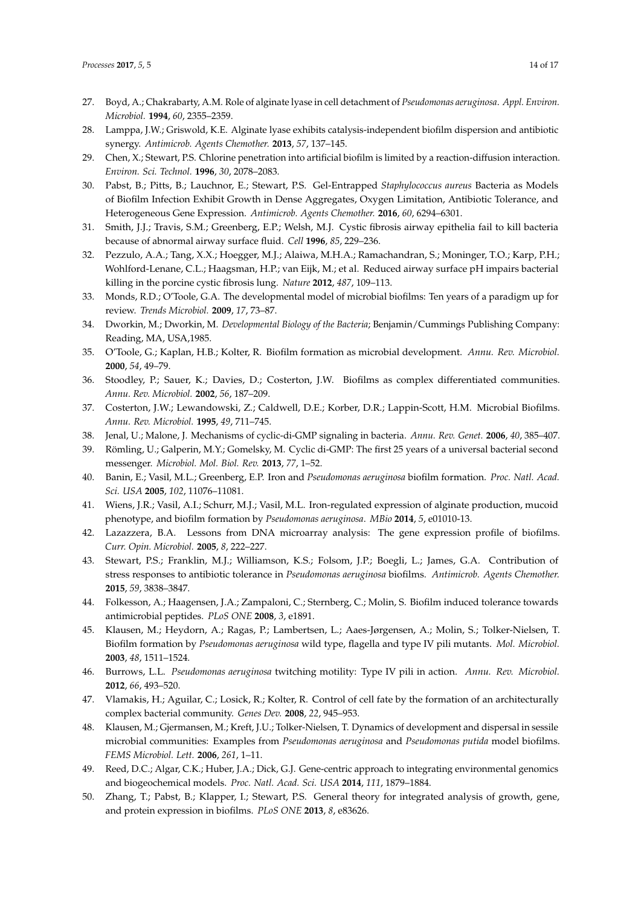- <span id="page-13-0"></span>27. Boyd, A.; Chakrabarty, A.M. Role of alginate lyase in cell detachment of *Pseudomonas aeruginosa*. *Appl. Environ. Microbiol.* **1994**, *60*, 2355–2359.
- <span id="page-13-1"></span>28. Lamppa, J.W.; Griswold, K.E. Alginate lyase exhibits catalysis-independent biofilm dispersion and antibiotic synergy. *Antimicrob. Agents Chemother.* **2013**, *57*, 137–145.
- <span id="page-13-2"></span>29. Chen, X.; Stewart, P.S. Chlorine penetration into artificial biofilm is limited by a reaction-diffusion interaction. *Environ. Sci. Technol.* **1996**, *30*, 2078–2083.
- <span id="page-13-3"></span>30. Pabst, B.; Pitts, B.; Lauchnor, E.; Stewart, P.S. Gel-Entrapped *Staphylococcus aureus* Bacteria as Models of Biofilm Infection Exhibit Growth in Dense Aggregates, Oxygen Limitation, Antibiotic Tolerance, and Heterogeneous Gene Expression. *Antimicrob. Agents Chemother.* **2016**, *60*, 6294–6301.
- <span id="page-13-4"></span>31. Smith, J.J.; Travis, S.M.; Greenberg, E.P.; Welsh, M.J. Cystic fibrosis airway epithelia fail to kill bacteria because of abnormal airway surface fluid. *Cell* **1996**, *85*, 229–236.
- <span id="page-13-5"></span>32. Pezzulo, A.A.; Tang, X.X.; Hoegger, M.J.; Alaiwa, M.H.A.; Ramachandran, S.; Moninger, T.O.; Karp, P.H.; Wohlford-Lenane, C.L.; Haagsman, H.P.; van Eijk, M.; et al. Reduced airway surface pH impairs bacterial killing in the porcine cystic fibrosis lung. *Nature* **2012**, *487*, 109–113.
- <span id="page-13-6"></span>33. Monds, R.D.; O'Toole, G.A. The developmental model of microbial biofilms: Ten years of a paradigm up for review. *Trends Microbiol.* **2009**, *17*, 73–87.
- <span id="page-13-7"></span>34. Dworkin, M.; Dworkin, M. *Developmental Biology of the Bacteria*; Benjamin/Cummings Publishing Company: Reading, MA, USA,1985.
- <span id="page-13-8"></span>35. O'Toole, G.; Kaplan, H.B.; Kolter, R. Biofilm formation as microbial development. *Annu. Rev. Microbiol.* **2000**, *54*, 49–79.
- <span id="page-13-9"></span>36. Stoodley, P.; Sauer, K.; Davies, D.; Costerton, J.W. Biofilms as complex differentiated communities. *Annu. Rev. Microbiol.* **2002**, *56*, 187–209.
- <span id="page-13-10"></span>37. Costerton, J.W.; Lewandowski, Z.; Caldwell, D.E.; Korber, D.R.; Lappin-Scott, H.M. Microbial Biofilms. *Annu. Rev. Microbiol.* **1995**, *49*, 711–745.
- <span id="page-13-11"></span>38. Jenal, U.; Malone, J. Mechanisms of cyclic-di-GMP signaling in bacteria. *Annu. Rev. Genet.* **2006**, *40*, 385–407.
- <span id="page-13-12"></span>39. Römling, U.; Galperin, M.Y.; Gomelsky, M. Cyclic di-GMP: The first 25 years of a universal bacterial second messenger. *Microbiol. Mol. Biol. Rev.* **2013**, *77*, 1–52.
- <span id="page-13-13"></span>40. Banin, E.; Vasil, M.L.; Greenberg, E.P. Iron and *Pseudomonas aeruginosa* biofilm formation. *Proc. Natl. Acad. Sci. USA* **2005**, *102*, 11076–11081.
- <span id="page-13-14"></span>41. Wiens, J.R.; Vasil, A.I.; Schurr, M.J.; Vasil, M.L. Iron-regulated expression of alginate production, mucoid phenotype, and biofilm formation by *Pseudomonas aeruginosa*. *MBio* **2014**, *5*, e01010-13.
- <span id="page-13-15"></span>42. Lazazzera, B.A. Lessons from DNA microarray analysis: The gene expression profile of biofilms. *Curr. Opin. Microbiol.* **2005**, *8*, 222–227.
- <span id="page-13-16"></span>43. Stewart, P.S.; Franklin, M.J.; Williamson, K.S.; Folsom, J.P.; Boegli, L.; James, G.A. Contribution of stress responses to antibiotic tolerance in *Pseudomonas aeruginosa* biofilms. *Antimicrob. Agents Chemother.* **2015**, *59*, 3838–3847.
- <span id="page-13-17"></span>44. Folkesson, A.; Haagensen, J.A.; Zampaloni, C.; Sternberg, C.; Molin, S. Biofilm induced tolerance towards antimicrobial peptides. *PLoS ONE* **2008**, *3*, e1891.
- <span id="page-13-18"></span>45. Klausen, M.; Heydorn, A.; Ragas, P.; Lambertsen, L.; Aaes-Jørgensen, A.; Molin, S.; Tolker-Nielsen, T. Biofilm formation by *Pseudomonas aeruginosa* wild type, flagella and type IV pili mutants. *Mol. Microbiol.* **2003**, *48*, 1511–1524.
- <span id="page-13-19"></span>46. Burrows, L.L. *Pseudomonas aeruginosa* twitching motility: Type IV pili in action. *Annu. Rev. Microbiol.* **2012**, *66*, 493–520.
- <span id="page-13-20"></span>47. Vlamakis, H.; Aguilar, C.; Losick, R.; Kolter, R. Control of cell fate by the formation of an architecturally complex bacterial community. *Genes Dev.* **2008**, *22*, 945–953.
- <span id="page-13-21"></span>48. Klausen, M.; Gjermansen, M.; Kreft, J.U.; Tolker-Nielsen, T. Dynamics of development and dispersal in sessile microbial communities: Examples from *Pseudomonas aeruginosa* and *Pseudomonas putida* model biofilms. *FEMS Microbiol. Lett.* **2006**, *261*, 1–11.
- <span id="page-13-22"></span>49. Reed, D.C.; Algar, C.K.; Huber, J.A.; Dick, G.J. Gene-centric approach to integrating environmental genomics and biogeochemical models. *Proc. Natl. Acad. Sci. USA* **2014**, *111*, 1879–1884.
- <span id="page-13-23"></span>50. Zhang, T.; Pabst, B.; Klapper, I.; Stewart, P.S. General theory for integrated analysis of growth, gene, and protein expression in biofilms. *PLoS ONE* **2013**, *8*, e83626.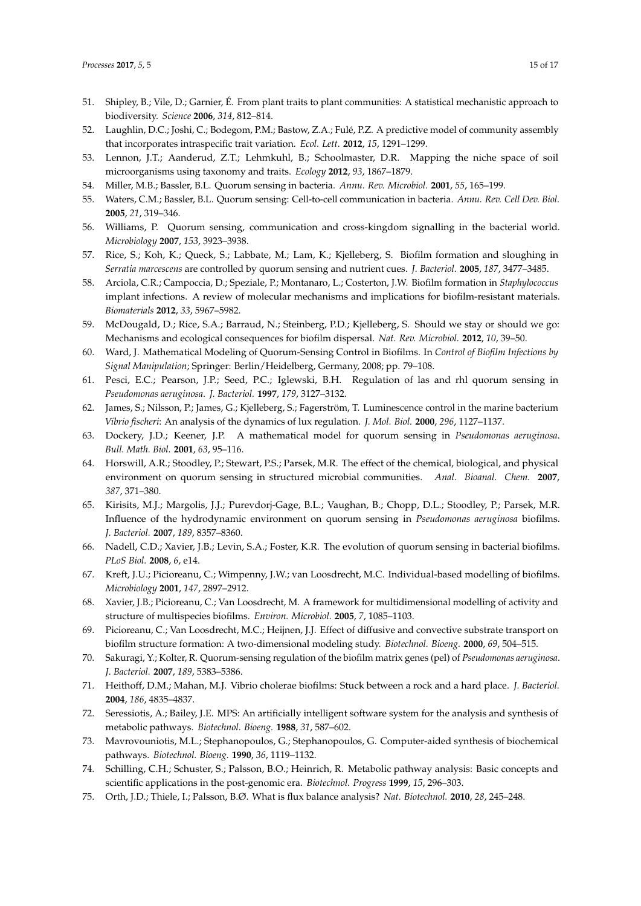- <span id="page-14-0"></span>51. Shipley, B.; Vile, D.; Garnier, É. From plant traits to plant communities: A statistical mechanistic approach to biodiversity. *Science* **2006**, *314*, 812–814.
- <span id="page-14-1"></span>52. Laughlin, D.C.; Joshi, C.; Bodegom, P.M.; Bastow, Z.A.; Fulé, P.Z. A predictive model of community assembly that incorporates intraspecific trait variation. *Ecol. Lett.* **2012**, *15*, 1291–1299.
- <span id="page-14-2"></span>53. Lennon, J.T.; Aanderud, Z.T.; Lehmkuhl, B.; Schoolmaster, D.R. Mapping the niche space of soil microorganisms using taxonomy and traits. *Ecology* **2012**, *93*, 1867–1879.
- <span id="page-14-3"></span>54. Miller, M.B.; Bassler, B.L. Quorum sensing in bacteria. *Annu. Rev. Microbiol.* **2001**, *55*, 165–199.
- 55. Waters, C.M.; Bassler, B.L. Quorum sensing: Cell-to-cell communication in bacteria. *Annu. Rev. Cell Dev. Biol.* **2005**, *21*, 319–346.
- <span id="page-14-4"></span>56. Williams, P. Quorum sensing, communication and cross-kingdom signalling in the bacterial world. *Microbiology* **2007**, *153*, 3923–3938.
- <span id="page-14-5"></span>57. Rice, S.; Koh, K.; Queck, S.; Labbate, M.; Lam, K.; Kjelleberg, S. Biofilm formation and sloughing in *Serratia marcescens* are controlled by quorum sensing and nutrient cues. *J. Bacteriol.* **2005**, *187*, 3477–3485.
- 58. Arciola, C.R.; Campoccia, D.; Speziale, P.; Montanaro, L.; Costerton, J.W. Biofilm formation in *Staphylococcus* implant infections. A review of molecular mechanisms and implications for biofilm-resistant materials. *Biomaterials* **2012**, *33*, 5967–5982.
- <span id="page-14-6"></span>59. McDougald, D.; Rice, S.A.; Barraud, N.; Steinberg, P.D.; Kjelleberg, S. Should we stay or should we go: Mechanisms and ecological consequences for biofilm dispersal. *Nat. Rev. Microbiol.* **2012**, *10*, 39–50.
- <span id="page-14-7"></span>60. Ward, J. Mathematical Modeling of Quorum-Sensing Control in Biofilms. In *Control of Biofilm Infections by Signal Manipulation*; Springer: Berlin/Heidelberg, Germany, 2008; pp. 79–108.
- <span id="page-14-8"></span>61. Pesci, E.C.; Pearson, J.P.; Seed, P.C.; Iglewski, B.H. Regulation of las and rhl quorum sensing in *Pseudomonas aeruginosa*. *J. Bacteriol.* **1997**, *179*, 3127–3132.
- <span id="page-14-9"></span>62. James, S.; Nilsson, P.; James, G.; Kjelleberg, S.; Fagerström, T. Luminescence control in the marine bacterium *Vibrio fischeri*: An analysis of the dynamics of lux regulation. *J. Mol. Biol.* **2000**, *296*, 1127–1137.
- <span id="page-14-10"></span>63. Dockery, J.D.; Keener, J.P. A mathematical model for quorum sensing in *Pseudomonas aeruginosa*. *Bull. Math. Biol.* **2001**, *63*, 95–116.
- <span id="page-14-11"></span>64. Horswill, A.R.; Stoodley, P.; Stewart, P.S.; Parsek, M.R. The effect of the chemical, biological, and physical environment on quorum sensing in structured microbial communities. *Anal. Bioanal. Chem.* **2007**, *387*, 371–380.
- <span id="page-14-12"></span>65. Kirisits, M.J.; Margolis, J.J.; Purevdorj-Gage, B.L.; Vaughan, B.; Chopp, D.L.; Stoodley, P.; Parsek, M.R. Influence of the hydrodynamic environment on quorum sensing in *Pseudomonas aeruginosa* biofilms. *J. Bacteriol.* **2007**, *189*, 8357–8360.
- <span id="page-14-13"></span>66. Nadell, C.D.; Xavier, J.B.; Levin, S.A.; Foster, K.R. The evolution of quorum sensing in bacterial biofilms. *PLoS Biol.* **2008**, *6*, e14.
- <span id="page-14-14"></span>67. Kreft, J.U.; Picioreanu, C.; Wimpenny, J.W.; van Loosdrecht, M.C. Individual-based modelling of biofilms. *Microbiology* **2001**, *147*, 2897–2912.
- 68. Xavier, J.B.; Picioreanu, C.; Van Loosdrecht, M. A framework for multidimensional modelling of activity and structure of multispecies biofilms. *Environ. Microbiol.* **2005**, *7*, 1085–1103.
- <span id="page-14-15"></span>69. Picioreanu, C.; Van Loosdrecht, M.C.; Heijnen, J.J. Effect of diffusive and convective substrate transport on biofilm structure formation: A two-dimensional modeling study. *Biotechnol. Bioeng.* **2000**, *69*, 504–515.
- <span id="page-14-16"></span>70. Sakuragi, Y.; Kolter, R. Quorum-sensing regulation of the biofilm matrix genes (pel) of *Pseudomonas aeruginosa*. *J. Bacteriol.* **2007**, *189*, 5383–5386.
- <span id="page-14-17"></span>71. Heithoff, D.M.; Mahan, M.J. Vibrio cholerae biofilms: Stuck between a rock and a hard place. *J. Bacteriol.* **2004**, *186*, 4835–4837.
- <span id="page-14-18"></span>72. Seressiotis, A.; Bailey, J.E. MPS: An artificially intelligent software system for the analysis and synthesis of metabolic pathways. *Biotechnol. Bioeng.* **1988**, *31*, 587–602.
- <span id="page-14-19"></span>73. Mavrovouniotis, M.L.; Stephanopoulos, G.; Stephanopoulos, G. Computer-aided synthesis of biochemical pathways. *Biotechnol. Bioeng.* **1990**, *36*, 1119–1132.
- <span id="page-14-20"></span>74. Schilling, C.H.; Schuster, S.; Palsson, B.O.; Heinrich, R. Metabolic pathway analysis: Basic concepts and scientific applications in the post-genomic era. *Biotechnol. Progress* **1999**, *15*, 296–303.
- <span id="page-14-21"></span>75. Orth, J.D.; Thiele, I.; Palsson, B.Ø. What is flux balance analysis? *Nat. Biotechnol.* **2010**, *28*, 245–248.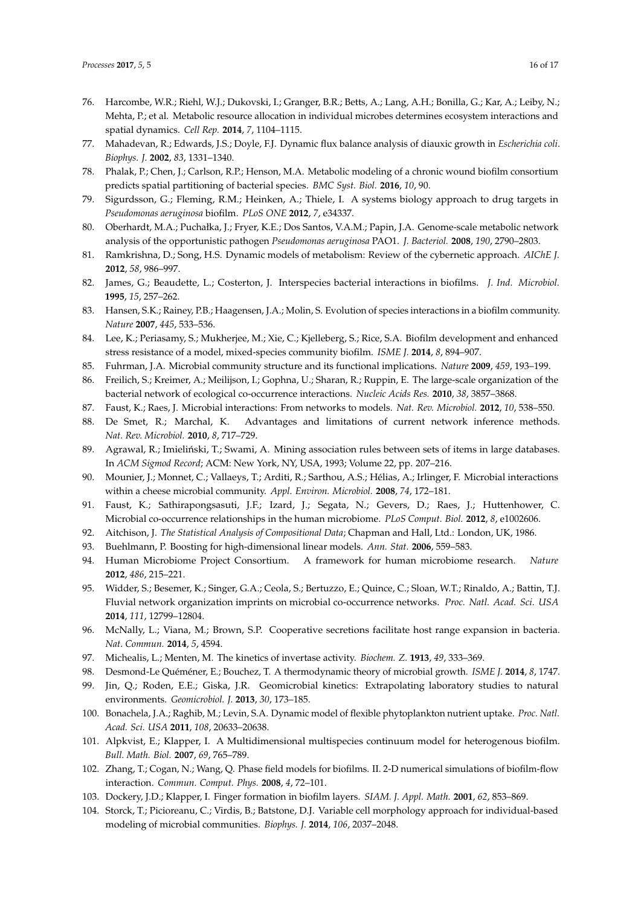- <span id="page-15-0"></span>76. Harcombe, W.R.; Riehl, W.J.; Dukovski, I.; Granger, B.R.; Betts, A.; Lang, A.H.; Bonilla, G.; Kar, A.; Leiby, N.; Mehta, P.; et al. Metabolic resource allocation in individual microbes determines ecosystem interactions and spatial dynamics. *Cell Rep.* **2014**, *7*, 1104–1115.
- <span id="page-15-1"></span>77. Mahadevan, R.; Edwards, J.S.; Doyle, F.J. Dynamic flux balance analysis of diauxic growth in *Escherichia coli*. *Biophys. J.* **2002**, *83*, 1331–1340.
- <span id="page-15-2"></span>78. Phalak, P.; Chen, J.; Carlson, R.P.; Henson, M.A. Metabolic modeling of a chronic wound biofilm consortium predicts spatial partitioning of bacterial species. *BMC Syst. Biol.* **2016**, *10*, 90.
- <span id="page-15-3"></span>79. Sigurdsson, G.; Fleming, R.M.; Heinken, A.; Thiele, I. A systems biology approach to drug targets in *Pseudomonas aeruginosa* biofilm. *PLoS ONE* **2012**, *7*, e34337.
- <span id="page-15-4"></span>80. Oberhardt, M.A.; Puchałka, J.; Fryer, K.E.; Dos Santos, V.A.M.; Papin, J.A. Genome-scale metabolic network analysis of the opportunistic pathogen *Pseudomonas aeruginosa* PAO1. *J. Bacteriol.* **2008**, *190*, 2790–2803.
- <span id="page-15-5"></span>81. Ramkrishna, D.; Song, H.S. Dynamic models of metabolism: Review of the cybernetic approach. *AIChE J.* **2012**, *58*, 986–997.
- <span id="page-15-6"></span>82. James, G.; Beaudette, L.; Costerton, J. Interspecies bacterial interactions in biofilms. *J. Ind. Microbiol.* **1995**, *15*, 257–262.
- 83. Hansen, S.K.; Rainey, P.B.; Haagensen, J.A.; Molin, S. Evolution of species interactions in a biofilm community. *Nature* **2007**, *445*, 533–536.
- <span id="page-15-7"></span>84. Lee, K.; Periasamy, S.; Mukherjee, M.; Xie, C.; Kjelleberg, S.; Rice, S.A. Biofilm development and enhanced stress resistance of a model, mixed-species community biofilm. *ISME J.* **2014**, *8*, 894–907.
- <span id="page-15-9"></span><span id="page-15-8"></span>85. Fuhrman, J.A. Microbial community structure and its functional implications. *Nature* **2009**, *459*, 193–199.
- 86. Freilich, S.; Kreimer, A.; Meilijson, I.; Gophna, U.; Sharan, R.; Ruppin, E. The large-scale organization of the bacterial network of ecological co-occurrence interactions. *Nucleic Acids Res.* **2010**, *38*, 3857–3868.
- <span id="page-15-10"></span>87. Faust, K.; Raes, J. Microbial interactions: From networks to models. *Nat. Rev. Microbiol.* **2012**, *10*, 538–550.
- <span id="page-15-11"></span>88. De Smet, R.; Marchal, K. Advantages and limitations of current network inference methods. *Nat. Rev. Microbiol.* **2010**, *8*, 717–729.
- <span id="page-15-12"></span>89. Agrawal, R.; Imieliński, T.; Swami, A. Mining association rules between sets of items in large databases. In *ACM Sigmod Record*; ACM: New York, NY, USA, 1993; Volume 22, pp. 207–216.
- <span id="page-15-13"></span>90. Mounier, J.; Monnet, C.; Vallaeys, T.; Arditi, R.; Sarthou, A.S.; Hélias, A.; Irlinger, F. Microbial interactions within a cheese microbial community. *Appl. Environ. Microbiol.* **2008**, *74*, 172–181.
- <span id="page-15-14"></span>91. Faust, K.; Sathirapongsasuti, J.F.; Izard, J.; Segata, N.; Gevers, D.; Raes, J.; Huttenhower, C. Microbial co-occurrence relationships in the human microbiome. *PLoS Comput. Biol.* **2012**, *8*, e1002606.
- <span id="page-15-15"></span>92. Aitchison, J. *The Statistical Analysis of Compositional Data*; Chapman and Hall, Ltd.: London, UK, 1986.
- <span id="page-15-16"></span>93. Buehlmann, P. Boosting for high-dimensional linear models. *Ann. Stat.* **2006**, 559–583.
- <span id="page-15-17"></span>94. Human Microbiome Project Consortium. A framework for human microbiome research. *Nature* **2012**, *486*, 215–221.
- <span id="page-15-18"></span>95. Widder, S.; Besemer, K.; Singer, G.A.; Ceola, S.; Bertuzzo, E.; Quince, C.; Sloan, W.T.; Rinaldo, A.; Battin, T.J. Fluvial network organization imprints on microbial co-occurrence networks. *Proc. Natl. Acad. Sci. USA* **2014**, *111*, 12799–12804.
- <span id="page-15-19"></span>96. McNally, L.; Viana, M.; Brown, S.P. Cooperative secretions facilitate host range expansion in bacteria. *Nat. Commun.* **2014**, *5*, 4594.
- <span id="page-15-21"></span><span id="page-15-20"></span>97. Michealis, L.; Menten, M. The kinetics of invertase activity. *Biochem. Z.* **1913**, *49*, 333–369.
- <span id="page-15-22"></span>98. Desmond-Le Quéméner, E.; Bouchez, T. A thermodynamic theory of microbial growth. *ISME J.* **2014**, *8*, 1747.
- 99. Jin, Q.; Roden, E.E.; Giska, J.R. Geomicrobial kinetics: Extrapolating laboratory studies to natural environments. *Geomicrobiol. J.* **2013**, *30*, 173–185.
- <span id="page-15-23"></span>100. Bonachela, J.A.; Raghib, M.; Levin, S.A. Dynamic model of flexible phytoplankton nutrient uptake. *Proc. Natl. Acad. Sci. USA* **2011**, *108*, 20633–20638.
- <span id="page-15-24"></span>101. Alpkvist, E.; Klapper, I. A Multidimensional multispecies continuum model for heterogenous biofilm. *Bull. Math. Biol.* **2007**, *69*, 765–789.
- <span id="page-15-25"></span>102. Zhang, T.; Cogan, N.; Wang, Q. Phase field models for biofilms. II. 2-D numerical simulations of biofilm-flow interaction. *Commun. Comput. Phys.* **2008**, *4*, 72–101.
- <span id="page-15-26"></span>103. Dockery, J.D.; Klapper, I. Finger formation in biofilm layers. *SIAM. J. Appl. Math.* **2001**, *62*, 853–869.
- <span id="page-15-27"></span>104. Storck, T.; Picioreanu, C.; Virdis, B.; Batstone, D.J. Variable cell morphology approach for individual-based modeling of microbial communities. *Biophys. J.* **2014**, *106*, 2037–2048.